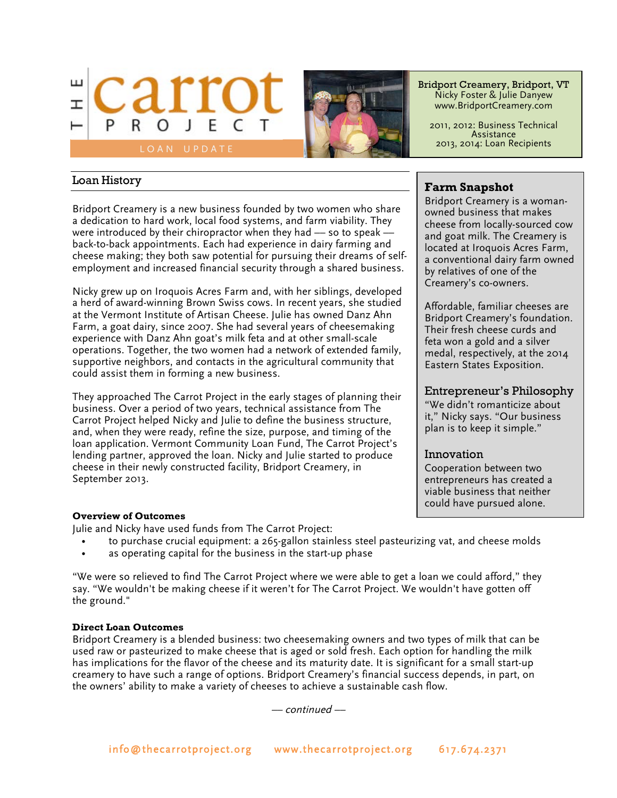



Bridport Creamery, Bridport, VT Nicky Foster & Julie Danyew www.BridportCreamery.com

2011, 2012: Business Technical Assistance 2013, 2014: Loan Recipients

## Loan History

Bridport Creamery is a new business founded by two women who share a dedication to hard work, local food systems, and farm viability. They were introduced by their chiropractor when they had  $-$  so to speak  $$ back-to-back appointments. Each had experience in dairy farming and cheese making; they both saw potential for pursuing their dreams of selfemployment and increased financial security through a shared business.

Nicky grew up on Iroquois Acres Farm and, with her siblings, developed a herd of award-winning Brown Swiss cows. In recent years, she studied at the Vermont Institute of Artisan Cheese. Julie has owned Danz Ahn Farm, a goat dairy, since 2007. She had several years of cheesemaking experience with Danz Ahn goat's milk feta and at other small-scale operations. Together, the two women had a network of extended family, supportive neighbors, and contacts in the agricultural community that could assist them in forming a new business.

They approached The Carrot Project in the early stages of planning their business. Over a period of two years, technical assistance from The Carrot Project helped Nicky and Julie to define the business structure, and, when they were ready, refine the size, purpose, and timing of the loan application. Vermont Community Loan Fund, The Carrot Project's lending partner, approved the loan. Nicky and Julie started to produce cheese in their newly constructed facility, Bridport Creamery, in September 2013.

# **Farm Snapshot**

Bridport Creamery is a womanowned business that makes cheese from locally-sourced cow and goat milk. The Creamery is located at Iroquois Acres Farm, a conventional dairy farm owned by relatives of one of the Creamery's co-owners.

Affordable, familiar cheeses are Bridport Creamery's foundation. Their fresh cheese curds and feta won a gold and a silver medal, respectively, at the 2014 Eastern States Exposition.

## Entrepreneur's Philosophy

"We didn't romanticize about it," Nicky says. "Our business plan is to keep it simple."

## Innovation

Cooperation between two entrepreneurs has created a viable business that neither could have pursued alone.

### **Overview of Outcomes**

Julie and Nicky have used funds from The Carrot Project:

- to purchase crucial equipment: a 265-gallon stainless steel pasteurizing vat, and cheese molds
- as operating capital for the business in the start-up phase

"We were so relieved to find The Carrot Project where we were able to get a loan we could afford," they say. "We wouldn't be making cheese if it weren't for The Carrot Project. We wouldn't have gotten off the ground."

### **Direct Loan Outcomes**

Bridport Creamery is a blended business: two cheesemaking owners and two types of milk that can be used raw or pasteurized to make cheese that is aged or sold fresh. Each option for handling the milk has implications for the flavor of the cheese and its maturity date. It is significant for a small start-up creamery to have such a range of options. Bridport Creamery's financial success depends, in part, on the owners' ability to make a variety of cheeses to achieve a sustainable cash flow.

–– continued ––